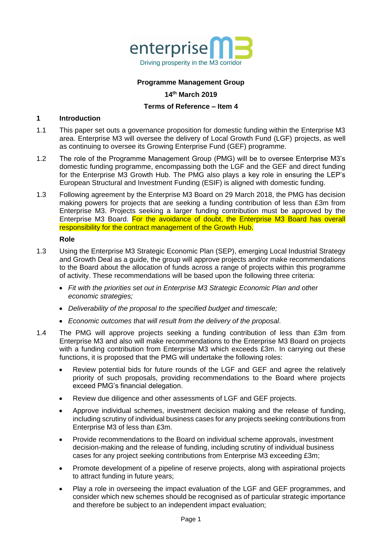

#### **Programme Management Group**

#### **14th March 2019**

#### **Terms of Reference – Item 4**

## **1 Introduction**

- 1.1 This paper set outs a governance proposition for domestic funding within the Enterprise M3 area. Enterprise M3 will oversee the delivery of Local Growth Fund (LGF) projects, as well as continuing to oversee its Growing Enterprise Fund (GEF) programme.
- 1.2 The role of the Programme Management Group (PMG) will be to oversee Enterprise M3's domestic funding programme, encompassing both the LGF and the GEF and direct funding for the Enterprise M3 Growth Hub. The PMG also plays a key role in ensuring the LEP's European Structural and Investment Funding (ESIF) is aligned with domestic funding.
- 1.3 Following agreement by the Enterprise M3 Board on 29 March 2018, the PMG has decision making powers for projects that are seeking a funding contribution of less than £3m from Enterprise M3. Projects seeking a larger funding contribution must be approved by the Enterprise M3 Board. For the avoidance of doubt, the Enterprise M3 Board has overall responsibility for the contract management of the Growth Hub.

## **Role**

- 1.3 Using the Enterprise M3 Strategic Economic Plan (SEP), emerging Local Industrial Strategy and Growth Deal as a guide, the group will approve projects and/or make recommendations to the Board about the allocation of funds across a range of projects within this programme of activity. These recommendations will be based upon the following three criteria:
	- *Fit with the priorities set out in Enterprise M3 Strategic Economic Plan and other economic strategies;*
	- *Deliverability of the proposal to the specified budget and timescale;*
	- *Economic outcomes that will result from the delivery of the proposal.*
- 1.4 The PMG will approve projects seeking a funding contribution of less than £3m from Enterprise M3 and also will make recommendations to the Enterprise M3 Board on projects with a funding contribution from Enterprise M3 which exceeds £3m. In carrying out these functions, it is proposed that the PMG will undertake the following roles:
	- Review potential bids for future rounds of the LGF and GEF and agree the relatively priority of such proposals, providing recommendations to the Board where projects exceed PMG's financial delegation.
	- Review due diligence and other assessments of LGF and GEF projects.
	- Approve individual schemes, investment decision making and the release of funding, including scrutiny of individual business cases for any projects seeking contributions from Enterprise M3 of less than £3m.
	- Provide recommendations to the Board on individual scheme approvals, investment decision-making and the release of funding, including scrutiny of individual business cases for any project seeking contributions from Enterprise M3 exceeding £3m;
	- Promote development of a pipeline of reserve projects, along with aspirational projects to attract funding in future years;
	- Play a role in overseeing the impact evaluation of the LGF and GEF programmes, and consider which new schemes should be recognised as of particular strategic importance and therefore be subject to an independent impact evaluation;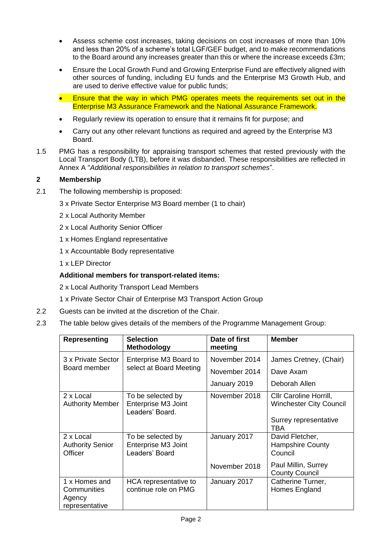- Assess scheme cost increases, taking decisions on cost increases of more than 10% and less than 20% of a scheme's total LGF/GEF budget, and to make recommendations to the Board around any increases greater than this or where the increase exceeds £3m;
- Ensure the Local Growth Fund and Growing Enterprise Fund are effectively aligned with other sources of funding, including EU funds and the Enterprise M3 Growth Hub, and are used to derive effective value for public funds;
- Ensure that the way in which PMG operates meets the requirements set out in the Enterprise M3 Assurance Framework and the National Assurance Framework.
- Regularly review its operation to ensure that it remains fit for purpose; and
- Carry out any other relevant functions as required and agreed by the Enterprise M3 Board.
- 1.5 PMG has a responsibility for appraising transport schemes that rested previously with the Local Transport Body (LTB), before it was disbanded. These responsibilities are reflected in Annex A "*Additional responsibilities in relation to transport schemes*".

# **2 Membership**

- 2.1 The following membership is proposed:
	- 3 x Private Sector Enterprise M3 Board member (1 to chair)
	- 2 x Local Authority Member
	- 2 x Local Authority Senior Officer
	- 1 x Homes England representative
	- 1 x Accountable Body representative
	- 1 x LEP Director

# **Additional members for transport-related items:**

- 2 x Local Authority Transport Lead Members
- 1 x Private Sector Chair of Enterprise M3 Transport Action Group
- 2.2 Guests can be invited at the discretion of the Chair.
- 2.3 The table below gives details of the members of the Programme Management Group:

| <b>Representing</b>                                      | <b>Selection</b><br><b>Methodology</b>                      | Date of first<br>meeting | <b>Member</b>                                            |
|----------------------------------------------------------|-------------------------------------------------------------|--------------------------|----------------------------------------------------------|
| 3 x Private Sector<br>Board member                       | Enterprise M3 Board to<br>select at Board Meeting           | November 2014            | James Cretney, (Chair)                                   |
|                                                          |                                                             | November 2014            | Dave Axam                                                |
|                                                          |                                                             | January 2019             | Deborah Allen                                            |
| 2 x Local<br><b>Authority Member</b>                     | To be selected by<br>Enterprise M3 Joint<br>Leaders' Board. | November 2018            | Cllr Caroline Horrill,<br><b>Winchester City Council</b> |
|                                                          |                                                             |                          | Surrey representative<br>TBA                             |
| 2 x Local<br><b>Authority Senior</b><br>Officer          | To be selected by<br>Enterprise M3 Joint<br>Leaders' Board  | January 2017             | David Fletcher,<br><b>Hampshire County</b><br>Council    |
|                                                          |                                                             | November 2018            | Paul Millin, Surrey<br><b>County Council</b>             |
| 1 x Homes and<br>Communities<br>Agency<br>representative | HCA representative to<br>continue role on PMG               | January 2017             | Catherine Turner,<br>Homes England                       |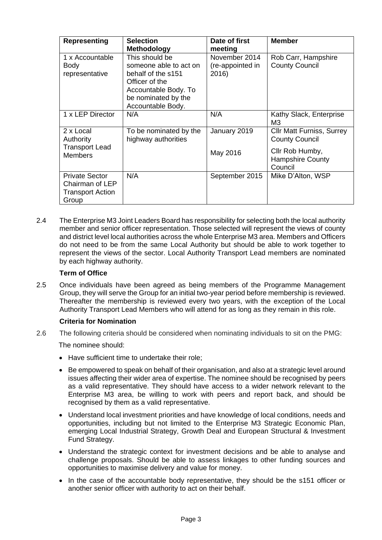| <b>Representing</b>                                                          | <b>Selection</b><br><b>Methodology</b>                                                                                                               | Date of first<br>meeting                   | <b>Member</b>                                             |
|------------------------------------------------------------------------------|------------------------------------------------------------------------------------------------------------------------------------------------------|--------------------------------------------|-----------------------------------------------------------|
| 1 x Accountable<br><b>Body</b><br>representative                             | This should be<br>someone able to act on<br>behalf of the s151<br>Officer of the<br>Accountable Body. To<br>be nominated by the<br>Accountable Body. | November 2014<br>(re-appointed in<br>2016) | Rob Carr, Hampshire<br><b>County Council</b>              |
| 1 x LEP Director                                                             | N/A                                                                                                                                                  | N/A                                        | Kathy Slack, Enterprise<br>MЗ                             |
| 2 x Local<br>Authority                                                       | To be nominated by the<br>highway authorities                                                                                                        | January 2019                               | <b>CIIr Matt Furniss, Surrey</b><br><b>County Council</b> |
| <b>Transport Lead</b><br><b>Members</b>                                      |                                                                                                                                                      | May 2016                                   | Cllr Rob Humby,<br><b>Hampshire County</b><br>Council     |
| <b>Private Sector</b><br>Chairman of LEP<br><b>Transport Action</b><br>Group | N/A                                                                                                                                                  | September 2015                             | Mike D'Alton, WSP                                         |

2.4 The Enterprise M3 Joint Leaders Board has responsibility for selecting both the local authority member and senior officer representation. Those selected will represent the views of county and district level local authorities across the whole Enterprise M3 area. Members and Officers do not need to be from the same Local Authority but should be able to work together to represent the views of the sector. Local Authority Transport Lead members are nominated by each highway authority.

## **Term of Office**

2.5 Once individuals have been agreed as being members of the Programme Management Group, they will serve the Group for an initial two-year period before membership is reviewed. Thereafter the membership is reviewed every two years, with the exception of the Local Authority Transport Lead Members who will attend for as long as they remain in this role.

## **Criteria for Nomination**

2.6 The following criteria should be considered when nominating individuals to sit on the PMG:

The nominee should:

- Have sufficient time to undertake their role;
- Be empowered to speak on behalf of their organisation, and also at a strategic level around issues affecting their wider area of expertise. The nominee should be recognised by peers as a valid representative. They should have access to a wider network relevant to the Enterprise M3 area, be willing to work with peers and report back, and should be recognised by them as a valid representative.
- Understand local investment priorities and have knowledge of local conditions, needs and opportunities, including but not limited to the Enterprise M3 Strategic Economic Plan, emerging Local Industrial Strategy, Growth Deal and European Structural & Investment Fund Strategy.
- Understand the strategic context for investment decisions and be able to analyse and challenge proposals. Should be able to assess linkages to other funding sources and opportunities to maximise delivery and value for money.
- In the case of the accountable body representative, they should be the s151 officer or another senior officer with authority to act on their behalf.